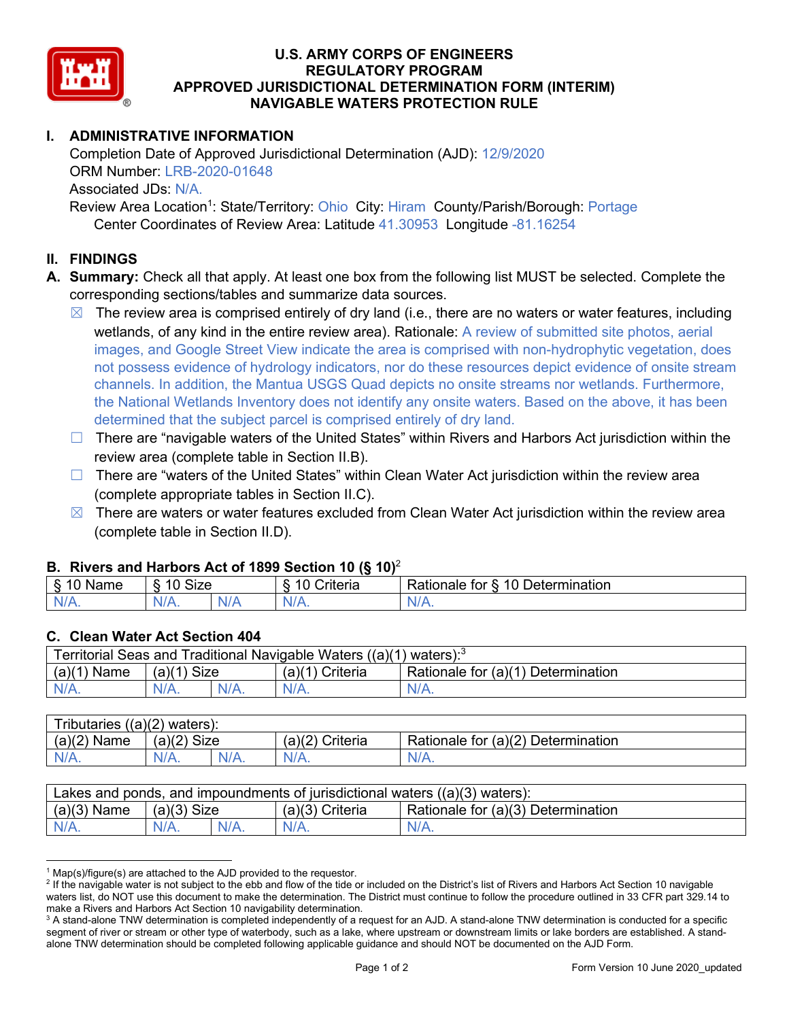

#### **U.S. ARMY CORPS OF ENGINEERS REGULATORY PROGRAM APPROVED JURISDICTIONAL DETERMINATION FORM (INTERIM) NAVIGABLE WATERS PROTECTION RULE**

# **I. ADMINISTRATIVE INFORMATION**

Completion Date of Approved Jurisdictional Determination (AJD): 12/9/2020 ORM Number: LRB-2020-01648 Associated JDs: N/A. Review Area Location<sup>1</sup>: State/Territory: Ohio City: Hiram County/Parish/Borough: Portage

Center Coordinates of Review Area: Latitude 41.30953 Longitude -81.16254

#### **II. FINDINGS**

- **A. Summary:** Check all that apply. At least one box from the following list MUST be selected. Complete the corresponding sections/tables and summarize data sources.
	- $\boxtimes$  The review area is comprised entirely of dry land (i.e., there are no waters or water features, including wetlands, of any kind in the entire review area). Rationale: A review of submitted site photos, aerial images, and Google Street View indicate the area is comprised with non-hydrophytic vegetation, does not possess evidence of hydrology indicators, nor do these resources depict evidence of onsite stream channels. In addition, the Mantua USGS Quad depicts no onsite streams nor wetlands. Furthermore, the National Wetlands Inventory does not identify any onsite waters. Based on the above, it has been determined that the subject parcel is comprised entirely of dry land.
	- □ There are "navigable waters of the United States" within Rivers and Harbors Act jurisdiction within the review area (complete table in Section II.B).
	- $\Box$  There are "waters of the United States" within Clean Water Act jurisdiction within the review area (complete appropriate tables in Section II.C).
	- $\boxtimes$  There are waters or water features excluded from Clean Water Act jurisdiction within the review area (complete table in Section II.D).

### **B. Rivers and Harbors Act of 1899 Section 10 (§ 10)**<sup>2</sup>

| $\cdot$                                        |                          |     |                                                       |                                                           |  |
|------------------------------------------------|--------------------------|-----|-------------------------------------------------------|-----------------------------------------------------------|--|
| $\overline{\phantom{0}}$<br>1002<br>wа.<br>THE | $\sim$<br>⌒<br>-<br>א∠וכ |     | $\sim$ $\sim$<br>$\overline{\phantom{a}}$<br>`rıteria | -<br>10<br>-<br>termination<br>tor<br>Rationale<br>Jeteri |  |
| .                                              | N/A.                     | NL. | . XI 4<br>$\mathbf{u}$                                | 17 TV                                                     |  |

#### **C. Clean Water Act Section 404**

| Territorial Seas and Traditional Navigable Waters $((a)(1)$ waters): <sup>3</sup> |               |         |                   |                                    |  |
|-----------------------------------------------------------------------------------|---------------|---------|-------------------|------------------------------------|--|
| $(a)(1)$ Name                                                                     | $(a)(1)$ Size |         | $(a)(1)$ Criteria | Rationale for (a)(1) Determination |  |
| $N/A$ .                                                                           |               | $N/A$ . | $N/A$ .           | $N/A$ .                            |  |

| Tributaries $((a)(2)$ waters): |               |         |                 |                                    |  |
|--------------------------------|---------------|---------|-----------------|------------------------------------|--|
| $(a)(2)$ Name                  | $(a)(2)$ Size |         | (a)(2) Criteria | Rationale for (a)(2) Determination |  |
| $N/A$ .                        | $N/A$ .       | $N/A$ . | $N/A$ .         | N/A.                               |  |

| Lakes and ponds, and impoundments of jurisdictional waters $((a)(3)$ waters): |               |  |                   |                                    |  |
|-------------------------------------------------------------------------------|---------------|--|-------------------|------------------------------------|--|
| $(a)(3)$ Name                                                                 | $(a)(3)$ Size |  | $(a)(3)$ Criteria | Rationale for (a)(3) Determination |  |
|                                                                               | $N/A$ .       |  | $N/A$ .           | $N/A$ .                            |  |

 $1$  Map(s)/figure(s) are attached to the AJD provided to the requestor.

<sup>&</sup>lt;sup>2</sup> If the navigable water is not subject to the ebb and flow of the tide or included on the District's list of Rivers and Harbors Act Section 10 navigable waters list, do NOT use this document to make the determination. The District must continue to follow the procedure outlined in 33 CFR part 329.14 to make a Rivers and Harbors Act Section 10 navigability determination.

<sup>&</sup>lt;sup>3</sup> A stand-alone TNW determination is completed independently of a request for an AJD. A stand-alone TNW determination is conducted for a specific segment of river or stream or other type of waterbody, such as a lake, where upstream or downstream limits or lake borders are established. A standalone TNW determination should be completed following applicable guidance and should NOT be documented on the AJD Form.